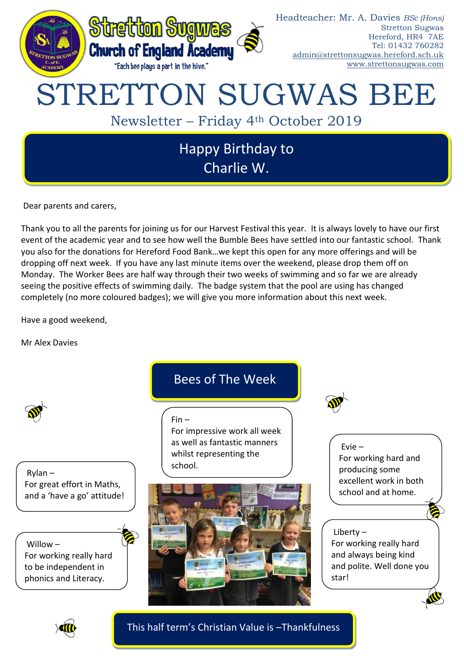

Dear parents and carers,

Thank you to all the parents for joining us for our Harvest Festival this year. It is always lovely to have our first event of the academic year and to see how well the Bumble Bees have settled into our fantastic school. Thank you also for the donations for Hereford Food Bank…we kept this open for any more offerings and will be dropping off next week. If you have any last minute items over the weekend, please drop them off on Monday. The Worker Bees are half way through their two weeks of swimming and so far we are already seeing the positive effects of swimming daily. The badge system that the pool are using has changed completely (no more coloured badges); we will give you more information about this next week.

Have a good weekend,

Mr Alex Davies



Rylan – For great effort in Maths, and a 'have a go' attitude!

Willow – For working really hard to be independent in phonics and Literacy.

# Bees of The Week

Fin –

For impressive work all week as well as fantastic manners whilst representing the school.





Evie – For working hard and producing some excellent work in both school and at home.

## Liberty – For working really hard and always being kind and polite. Well done you star!



This half term's Christian Value is –Thankfulness